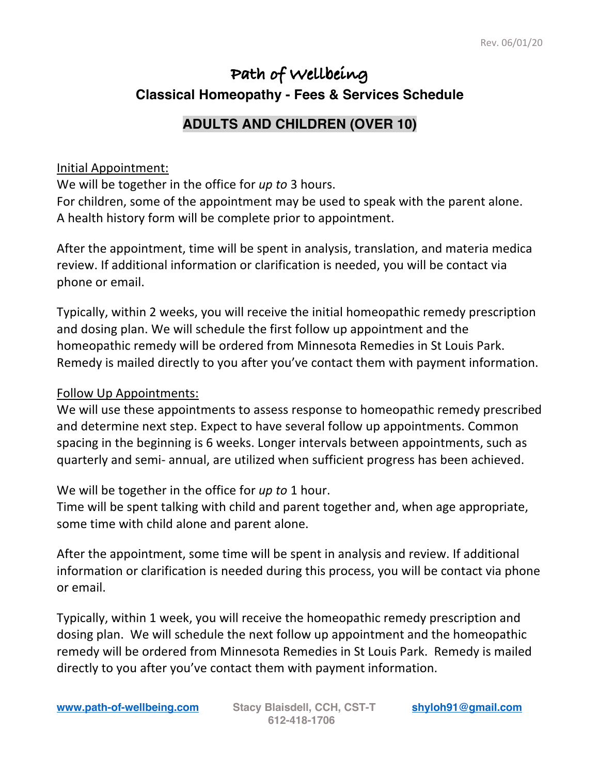## **Path of Wellbeing Classical Homeopathy - Fees & Services Schedule**

## **ADULTS AND CHILDREN (OVER 10)**

## Initial Appointment:

We will be together in the office for *up to* 3 hours. For children, some of the appointment may be used to speak with the parent alone. A health history form will be complete prior to appointment.

After the appointment, time will be spent in analysis, translation, and materia medica review. If additional information or clarification is needed, you will be contact via phone or email.

Typically, within 2 weeks, you will receive the initial homeopathic remedy prescription and dosing plan. We will schedule the first follow up appointment and the homeopathic remedy will be ordered from Minnesota Remedies in St Louis Park. Remedy is mailed directly to you after you've contact them with payment information.

## Follow Up Appointments:

We will use these appointments to assess response to homeopathic remedy prescribed and determine next step. Expect to have several follow up appointments. Common spacing in the beginning is 6 weeks. Longer intervals between appointments, such as quarterly and semi- annual, are utilized when sufficient progress has been achieved.

We will be together in the office for *up to* 1 hour.

Time will be spent talking with child and parent together and, when age appropriate, some time with child alone and parent alone.

After the appointment, some time will be spent in analysis and review. If additional information or clarification is needed during this process, you will be contact via phone or email.

Typically, within 1 week, you will receive the homeopathic remedy prescription and dosing plan. We will schedule the next follow up appointment and the homeopathic remedy will be ordered from Minnesota Remedies in St Louis Park. Remedy is mailed directly to you after you've contact them with payment information.